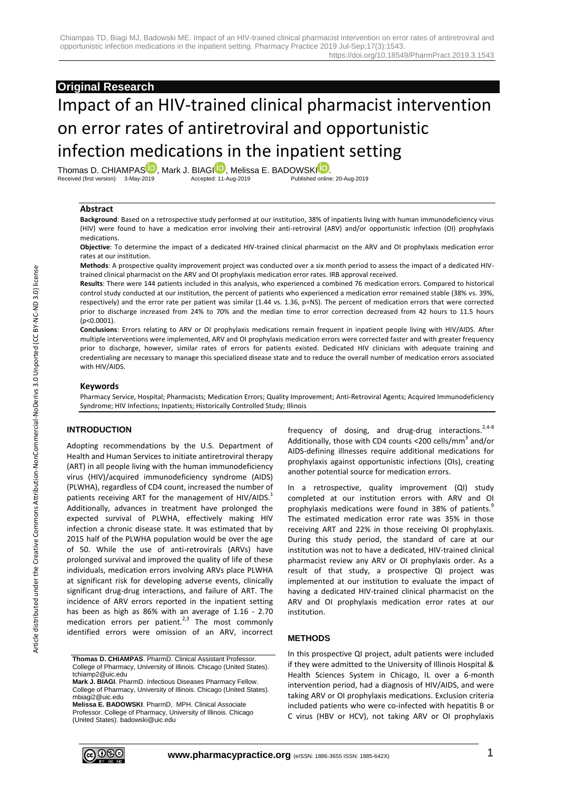# **Original Research**

# Impact of an HIV-trained clinical pharmacist intervention on error rates of antiretroviral and opportunistic infection medications in the inpatient setting

Thomas D. CHIAMPA[S](http://orcid.org/0000-0001-8385-4391) **D**, Mark J. BIA[GI](http://orcid.org/0000-0001-5190-0066)<sup>D</sup>, Melissa E. BADOWSK[I](http://orcid.org/0000-0001-7564-0131)<sup>D</sup>.<br>Received (first version): 3-May-2019 Accepted: 11-Aug-2019 Published online: 20-Aug-2019 Received (first version): 3-May-2019

#### **Abstract**

**Background**: Based on a retrospective study performed at our institution, 38% of inpatients living with human immunodeficiency virus (HIV) were found to have a medication error involving their anti-retroviral (ARV) and/or opportunistic infection (OI) prophylaxis medications.

**Objective**: To determine the impact of a dedicated HIV-trained clinical pharmacist on the ARV and OI prophylaxis medication error rates at our institution.

**Methods**: A prospective quality improvement project was conducted over a six month period to assess the impact of a dedicated HIVtrained clinical pharmacist on the ARV and OI prophylaxis medication error rates. IRB approval received.

**Results**: There were 144 patients included in this analysis, who experienced a combined 76 medication errors. Compared to historical control study conducted at our institution, the percent of patients who experienced a medication error remained stable (38% vs. 39%, respectively) and the error rate per patient was similar (1.44 vs. 1.36, p=NS). The percent of medication errors that were corrected prior to discharge increased from 24% to 70% and the median time to error correction decreased from 42 hours to 11.5 hours (p<0.0001).

**Conclusions**: Errors relating to ARV or OI prophylaxis medications remain frequent in inpatient people living with HIV/AIDS. After multiple interventions were implemented, ARV and OI prophylaxis medication errors were corrected faster and with greater frequency prior to discharge, however, similar rates of errors for patients existed. Dedicated HIV clinicians with adequate training and credentialing are necessary to manage this specialized disease state and to reduce the overall number of medication errors associated with HIV/AIDS.

#### **Keywords**

Pharmacy Service, Hospital; Pharmacists; Medication Errors; Quality Improvement; Anti-Retroviral Agents; Acquired Immunodeficiency Syndrome; HIV Infections; Inpatients; Historically Controlled Study; Illinois

# **INTRODUCTION**

Adopting recommendations by the U.S. Department of Health and Human Services to initiate antiretroviral therapy (ART) in all people living with the human immunodeficiency virus (HIV)/acquired immunodeficiency syndrome (AIDS) (PLWHA), regardless of CD4 count, increased the number of patients receiving ART for the management of HIV/AIDS.<sup>1</sup> Additionally, advances in treatment have prolonged the expected survival of PLWHA, effectively making HIV infection a chronic disease state. It was estimated that by 2015 half of the PLWHA population would be over the age of 50. While the use of anti-retrovirals (ARVs) have prolonged survival and improved the quality of life of these individuals, medication errors involving ARVs place PLWHA at significant risk for developing adverse events, clinically significant drug-drug interactions, and failure of ART. The incidence of ARV errors reported in the inpatient setting has been as high as 86% with an average of 1.16 - 2.70 medication errors per patient. $2,3$  The most commonly identified errors were omission of an ARV, incorrect

**Melissa E. BADOWSKI**. PharmD, MPH. Clinical Associate Professor. College of Pharmacy, University of Illinois. Chicago (United States). badowski@uic.edu

frequency of dosing, and drug-drug interactions. $2,4-8$ Additionally, those with CD4 counts <200 cells/mm<sup>3</sup> and/or AIDS-defining illnesses require additional medications for prophylaxis against opportunistic infections (OIs), creating another potential source for medication errors.

In a retrospective, quality improvement (QI) study completed at our institution errors with ARV and OI prophylaxis medications were found in 38% of patients.<sup>9</sup> The estimated medication error rate was 35% in those receiving ART and 22% in those receiving OI prophylaxis. During this study period, the standard of care at our institution was not to have a dedicated, HIV-trained clinical pharmacist review any ARV or OI prophylaxis order. As a result of that study, a prospective QI project was implemented at our institution to evaluate the impact of having a dedicated HIV-trained clinical pharmacist on the ARV and OI prophylaxis medication error rates at our institution.

#### **METHODS**

In this prospective QI project, adult patients were included if they were admitted to the University of Illinois Hospital & Health Sciences System in Chicago, IL over a 6-month intervention period, had a diagnosis of HIV/AIDS, and were taking ARV or OI prophylaxis medications. Exclusion criteria included patients who were co-infected with hepatitis B or C virus (HBV or HCV), not taking ARV or OI prophylaxis



**Thomas D. CHIAMPAS**. PharmD. Clinical Assistant Professor. College of Pharmacy, University of Illinois. Chicago (United States). tchiamp2@uic.edu

**Mark J. BIAGI**. PharmD. Infectious Diseases Pharmacy Fellow. College of Pharmacy, University of Illinois. Chicago (United States). mbiagi2@uic.edu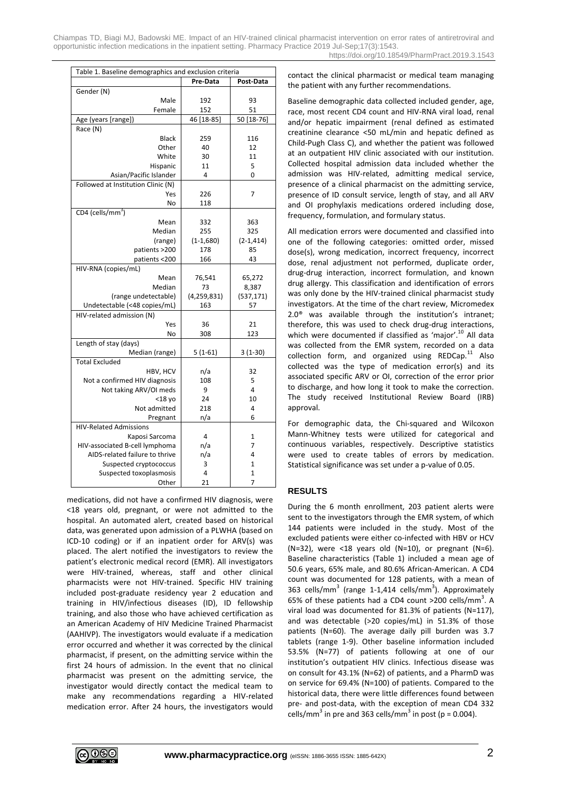| Table 1. Baseline demographics and exclusion criteria |                |              |  |
|-------------------------------------------------------|----------------|--------------|--|
|                                                       | Pre-Data       | Post-Data    |  |
| Gender (N)                                            |                |              |  |
| Male                                                  | 192            | 93           |  |
| Female                                                | 152            | 51           |  |
| Age (years [range])                                   | 46 [18-85]     | 50 [18-76]   |  |
| Race (N)                                              |                |              |  |
| <b>Black</b>                                          | 259            | 116          |  |
| Other                                                 | 40             | 12           |  |
| White                                                 | 30             | 11           |  |
| Hispanic                                              | 11             | 5            |  |
| Asian/Pacific Islander                                | $\overline{4}$ | 0            |  |
| Followed at Institution Clinic (N)                    |                |              |  |
| Yes                                                   | 226            | 7            |  |
| No                                                    | 118            |              |  |
| CD4 (cells/mm <sup>3</sup> )                          |                |              |  |
| Mean                                                  | 332            | 363          |  |
| Median                                                | 255            | 325          |  |
| (range)                                               | $(1-1,680)$    | $(2-1, 414)$ |  |
| patients >200                                         | 178            | 85           |  |
| patients <200                                         | 166            | 43           |  |
| HIV-RNA (copies/mL)                                   |                |              |  |
| Mean                                                  | 76,541         | 65,272       |  |
| Median                                                | 73             | 8,387        |  |
| (range undetectable)                                  | (4, 259, 831)  | (537, 171)   |  |
| Undetectable (<48 copies/mL)                          | 163            | 57           |  |
| HIV-related admission (N)                             |                |              |  |
| Yes                                                   | 36             | 21           |  |
| No                                                    | 308            | 123          |  |
| Length of stay (days)                                 |                |              |  |
| Median (range)                                        | $5(1-61)$      | $3(1-30)$    |  |
| <b>Total Excluded</b>                                 |                |              |  |
| HBV, HCV                                              | n/a            | 32           |  |
| Not a confirmed HIV diagnosis                         | 108            | 5            |  |
| Not taking ARV/OI meds                                | 9              | 4            |  |
| <18 yo                                                | 24             | 10           |  |
| Not admitted                                          | 218            | 4            |  |
| Pregnant                                              | n/a            | 6            |  |
| <b>HIV-Related Admissions</b>                         |                |              |  |
| Kaposi Sarcoma                                        | 4              | 1            |  |
| HIV-associated B-cell lymphoma                        | n/a            | 7            |  |
| AIDS-related failure to thrive                        | n/a            | 4            |  |
| Suspected cryptococcus                                | 3              | 1            |  |
| Suspected toxoplasmosis                               | 4              | 1            |  |
| Other                                                 | 21             | 7            |  |

medications, did not have a confirmed HIV diagnosis, were <18 years old, pregnant, or were not admitted to the hospital. An automated alert, created based on historical data, was generated upon admission of a PLWHA (based on ICD-10 coding) or if an inpatient order for ARV(s) was placed. The alert notified the investigators to review the patient's electronic medical record (EMR). All investigators were HIV-trained, whereas, staff and other clinical pharmacists were not HIV-trained. Specific HIV training included post-graduate residency year 2 education and training in HIV/infectious diseases (ID), ID fellowship training, and also those who have achieved certification as an American Academy of HIV Medicine Trained Pharmacist (AAHIVP). The investigators would evaluate if a medication error occurred and whether it was corrected by the clinical pharmacist, if present, on the admitting service within the first 24 hours of admission. In the event that no clinical pharmacist was present on the admitting service, the investigator would directly contact the medical team to make any recommendations regarding a HIV-related medication error. After 24 hours, the investigators would contact the clinical pharmacist or medical team managing the patient with any further recommendations.

Baseline demographic data collected included gender, age, race, most recent CD4 count and HIV-RNA viral load, renal and/or hepatic impairment (renal defined as estimated creatinine clearance <50 mL/min and hepatic defined as Child-Pugh Class C), and whether the patient was followed at an outpatient HIV clinic associated with our institution. Collected hospital admission data included whether the admission was HIV-related, admitting medical service, presence of a clinical pharmacist on the admitting service, presence of ID consult service, length of stay, and all ARV and OI prophylaxis medications ordered including dose, frequency, formulation, and formulary status.

All medication errors were documented and classified into one of the following categories: omitted order, missed dose(s), wrong medication, incorrect frequency, incorrect dose, renal adjustment not performed, duplicate order, drug-drug interaction, incorrect formulation, and known drug allergy. This classification and identification of errors was only done by the HIV-trained clinical pharmacist study investigators. At the time of the chart review, Micromedex 2.0® was available through the institution's intranet; therefore, this was used to check drug-drug interactions, which were documented if classified as 'major'.<sup>10</sup> All data was collected from the EMR system, recorded on a data collection form, and organized using REDCap.<sup>11</sup> Also collected was the type of medication error(s) and its associated specific ARV or OI, correction of the error prior to discharge, and how long it took to make the correction. The study received Institutional Review Board (IRB) approval.

For demographic data, the Chi-squared and Wilcoxon Mann-Whitney tests were utilized for categorical and continuous variables, respectively. Descriptive statistics were used to create tables of errors by medication. Statistical significance was set under a p-value of 0.05.

# **RESULTS**

During the 6 month enrollment, 203 patient alerts were sent to the investigators through the EMR system, of which 144 patients were included in the study. Most of the excluded patients were either co-infected with HBV or HCV (N=32), were <18 years old (N=10), or pregnant (N=6). Baseline characteristics (Table 1) included a mean age of 50.6 years, 65% male, and 80.6% African-American. A CD4 count was documented for 128 patients, with a mean of 363 cells/mm<sup>3</sup> (range 1-1,414 cells/mm<sup>3</sup>). Approximately 65% of these patients had a CD4 count >200 cells/mm<sup>3</sup>. A viral load was documented for 81.3% of patients (N=117), and was detectable (>20 copies/mL) in 51.3% of those patients (N=60). The average daily pill burden was 3.7 tablets (range 1-9). Other baseline information included 53.5% (N=77) of patients following at one of our institution's outpatient HIV clinics. Infectious disease was on consult for 43.1% (N=62) of patients, and a PharmD was on service for 69.4% (N=100) of patients. Compared to the historical data, there were little differences found between pre- and post-data, with the exception of mean CD4 332 cells/mm<sup>3</sup> in pre and 363 cells/mm<sup>3</sup> in post (p = 0.004).

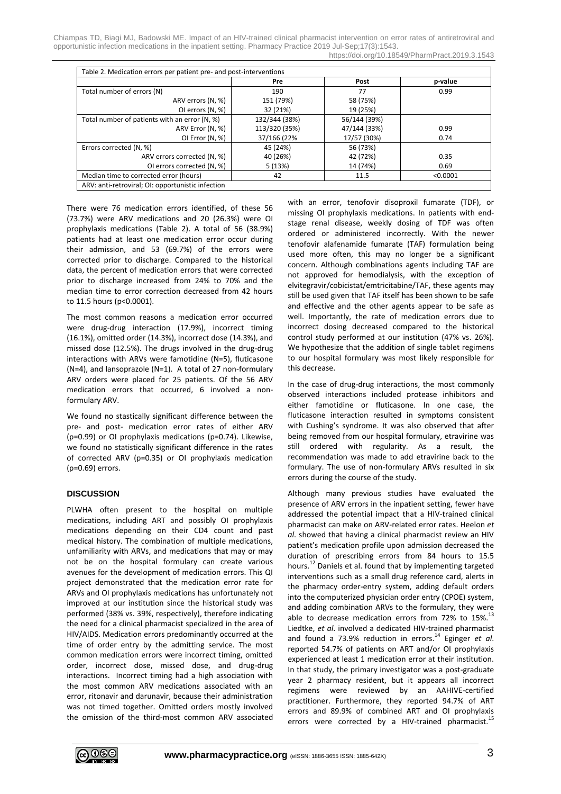Chiampas TD, Biagi MJ, Badowski ME. Impact of an HIV-trained clinical pharmacist intervention on error rates of antiretroviral and opportunistic infection medications in the inpatient setting. Pharmacy Practice 2019 Jul-Sep;17(3):1543. https://doi.org/10.18549/PharmPract.2019.3.1543

| Table 2. Medication errors per patient pre- and post-interventions |               |              |          |
|--------------------------------------------------------------------|---------------|--------------|----------|
|                                                                    | Pre           | Post         | p-value  |
| Total number of errors (N)                                         | 190           | 77           | 0.99     |
| ARV errors (N, %)                                                  | 151 (79%)     | 58 (75%)     |          |
| OI errors (N, %)                                                   | 32 (21%)      | 19 (25%)     |          |
| Total number of patients with an error (N, %)                      | 132/344 (38%) | 56/144 (39%) |          |
| ARV Error (N, %)                                                   | 113/320 (35%) | 47/144 (33%) | 0.99     |
| OI Error (N, %)                                                    | 37/166 (22%   | 17/57 (30%)  | 0.74     |
| Errors corrected (N, %)                                            | 45 (24%)      | 56 (73%)     |          |
| ARV errors corrected (N, %)                                        | 40 (26%)      | 42 (72%)     | 0.35     |
| OI errors corrected (N, %)                                         | 5(13%)        | 14 (74%)     | 0.69     |
| Median time to corrected error (hours)                             | 42            | 11.5         | < 0.0001 |
| ARV: anti-retroviral; OI: opportunistic infection                  |               |              |          |

There were 76 medication errors identified, of these 56 (73.7%) were ARV medications and 20 (26.3%) were OI prophylaxis medications (Table 2). A total of 56 (38.9%) patients had at least one medication error occur during their admission, and 53 (69.7%) of the errors were corrected prior to discharge. Compared to the historical data, the percent of medication errors that were corrected prior to discharge increased from 24% to 70% and the median time to error correction decreased from 42 hours to 11.5 hours (p<0.0001).

The most common reasons a medication error occurred were drug-drug interaction (17.9%), incorrect timing (16.1%), omitted order (14.3%), incorrect dose (14.3%), and missed dose (12.5%). The drugs involved in the drug-drug interactions with ARVs were famotidine (N=5), fluticasone (N=4), and lansoprazole (N=1). A total of 27 non-formulary ARV orders were placed for 25 patients. Of the 56 ARV medication errors that occurred, 6 involved a nonformulary ARV.

We found no stastically significant difference between the pre- and post- medication error rates of either ARV (p=0.99) or OI prophylaxis medications (p=0.74). Likewise, we found no statistically significant difference in the rates of corrected ARV (p=0.35) or OI prophylaxis medication (p=0.69) errors.

# **DISCUSSION**

PLWHA often present to the hospital on multiple medications, including ART and possibly OI prophylaxis medications depending on their CD4 count and past medical history. The combination of multiple medications, unfamiliarity with ARVs, and medications that may or may not be on the hospital formulary can create various avenues for the development of medication errors. This QI project demonstrated that the medication error rate for ARVs and OI prophylaxis medications has unfortunately not improved at our institution since the historical study was performed (38% vs. 39%, respectively), therefore indicating the need for a clinical pharmacist specialized in the area of HIV/AIDS. Medication errors predominantly occurred at the time of order entry by the admitting service. The most common medication errors were incorrect timing, omitted order, incorrect dose, missed dose, and drug-drug interactions. Incorrect timing had a high association with the most common ARV medications associated with an error, ritonavir and darunavir, because their administration was not timed together. Omitted orders mostly involved the omission of the third-most common ARV associated with an error, tenofovir disoproxil fumarate (TDF), or missing OI prophylaxis medications. In patients with endstage renal disease, weekly dosing of TDF was often ordered or administered incorrectly. With the newer tenofovir alafenamide fumarate (TAF) formulation being used more often, this may no longer be a significant concern. Although combinations agents including TAF are not approved for hemodialysis, with the exception of elvitegravir/cobicistat/emtricitabine/TAF, these agents may still be used given that TAF itself has been shown to be safe and effective and the other agents appear to be safe as well. Importantly, the rate of medication errors due to incorrect dosing decreased compared to the historical control study performed at our institution (47% vs. 26%). We hypothesize that the addition of single tablet regimens to our hospital formulary was most likely responsible for this decrease.

In the case of drug-drug interactions, the most commonly observed interactions included protease inhibitors and either famotidine or fluticasone. In one case, the fluticasone interaction resulted in symptoms consistent with Cushing's syndrome. It was also observed that after being removed from our hospital formulary, etravirine was still ordered with regularity. As a result, the recommendation was made to add etravirine back to the formulary. The use of non-formulary ARVs resulted in six errors during the course of the study.

Although many previous studies have evaluated the presence of ARV errors in the inpatient setting, fewer have addressed the potential impact that a HIV-trained clinical pharmacist can make on ARV-related error rates. Heelon *et al*. showed that having a clinical pharmacist review an HIV patient's medication profile upon admission decreased the duration of prescribing errors from 84 hours to 15.5 hours.<sup>12</sup> Daniels et al. found that by implementing targeted interventions such as a small drug reference card, alerts in the pharmacy order-entry system, adding default orders into the computerized physician order entry (CPOE) system, and adding combination ARVs to the formulary, they were able to decrease medication errors from 72% to  $15\%$ .<sup>13</sup> Liedtke, *et al*. involved a dedicated HIV-trained pharmacist and found a 73.9% reduction in errors.<sup>14</sup> Eginger *et al.* reported 54.7% of patients on ART and/or OI prophylaxis experienced at least 1 medication error at their institution. In that study, the primary investigator was a post-graduate year 2 pharmacy resident, but it appears all incorrect regimens were reviewed by an AAHIVE-certified practitioner. Furthermore, they reported 94.7% of ART errors and 89.9% of combined ART and OI prophylaxis errors were corrected by a HIV-trained pharmacist.<sup>1</sup>

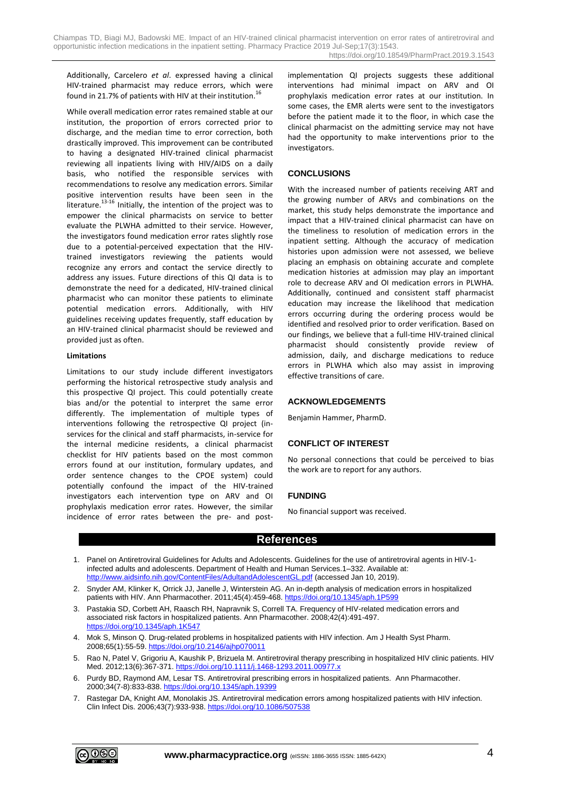Chiampas TD, Biagi MJ, Badowski ME. Impact of an HIV-trained clinical pharmacist intervention on error rates of antiretroviral and opportunistic infection medications in the inpatient setting. Pharmacy Practice 2019 Jul-Sep;17(3):1543. https://doi.org/10.18549/PharmPract.2019.3.1543

Additionally, Carcelero *et al*. expressed having a clinical HIV-trained pharmacist may reduce errors, which were found in 21.7% of patients with HIV at their institution.

While overall medication error rates remained stable at our institution, the proportion of errors corrected prior to discharge, and the median time to error correction, both drastically improved. This improvement can be contributed to having a designated HIV-trained clinical pharmacist reviewing all inpatients living with HIV/AIDS on a daily basis, who notified the responsible services with recommendations to resolve any medication errors. Similar positive intervention results have been seen in the literature.<sup>13-16</sup> Initially, the intention of the project was to empower the clinical pharmacists on service to better evaluate the PLWHA admitted to their service. However, the investigators found medication error rates slightly rose due to a potential-perceived expectation that the HIVtrained investigators reviewing the patients would recognize any errors and contact the service directly to address any issues. Future directions of this QI data is to demonstrate the need for a dedicated, HIV-trained clinical pharmacist who can monitor these patients to eliminate potential medication errors. Additionally, with HIV guidelines receiving updates frequently, staff education by an HIV-trained clinical pharmacist should be reviewed and provided just as often.

#### **Limitations**

Limitations to our study include different investigators performing the historical retrospective study analysis and this prospective QI project. This could potentially create bias and/or the potential to interpret the same error differently. The implementation of multiple types of interventions following the retrospective QI project (inservices for the clinical and staff pharmacists, in-service for the internal medicine residents, a clinical pharmacist checklist for HIV patients based on the most common errors found at our institution, formulary updates, and order sentence changes to the CPOE system) could potentially confound the impact of the HIV-trained investigators each intervention type on ARV and OI prophylaxis medication error rates. However, the similar incidence of error rates between the pre- and postimplementation QI projects suggests these additional interventions had minimal impact on ARV and OI prophylaxis medication error rates at our institution. In some cases, the EMR alerts were sent to the investigators before the patient made it to the floor, in which case the clinical pharmacist on the admitting service may not have had the opportunity to make interventions prior to the investigators.

## **CONCLUSIONS**

With the increased number of patients receiving ART and the growing number of ARVs and combinations on the market, this study helps demonstrate the importance and impact that a HIV-trained clinical pharmacist can have on the timeliness to resolution of medication errors in the inpatient setting. Although the accuracy of medication histories upon admission were not assessed, we believe placing an emphasis on obtaining accurate and complete medication histories at admission may play an important role to decrease ARV and OI medication errors in PLWHA. Additionally, continued and consistent staff pharmacist education may increase the likelihood that medication errors occurring during the ordering process would be identified and resolved prior to order verification. Based on our findings, we believe that a full-time HIV-trained clinical pharmacist should consistently provide review of admission, daily, and discharge medications to reduce errors in PLWHA which also may assist in improving effective transitions of care.

## **ACKNOWLEDGEMENTS**

Benjamin Hammer, PharmD.

## **CONFLICT OF INTEREST**

No personal connections that could be perceived to bias the work are to report for any authors.

## **FUNDING**

No financial support was received.

# **References**

- 1. Panel on Antiretroviral Guidelines for Adults and Adolescents. Guidelines for the use of antiretroviral agents in HIV-1 infected adults and adolescents. Department of Health and Human Services.1–332. Available at: <http://www.aidsinfo.nih.gov/ContentFiles/AdultandAdolescentGL.pdf> (accessed Jan 10, 2019).
- 2. Snyder AM, Klinker K, Orrick JJ, Janelle J, Winterstein AG. An in-depth analysis of medication errors in hospitalized patients with HIV. Ann Pharmacother. 2011;45(4):459-468[. https://doi.org/10.1345/aph.1P599](https://doi.org/10.1345/aph.1P599)
- 3. Pastakia SD, Corbett AH, Raasch RH, Napravnik S, Correll TA. Frequency of HIV-related medication errors and associated risk factors in hospitalized patients. Ann Pharmacother. 2008;42(4):491-497. <https://doi.org/10.1345/aph.1K547>
- 4. Mok S, Minson Q. Drug-related problems in hospitalized patients with HIV infection. Am J Health Syst Pharm. 2008;65(1):55-59.<https://doi.org/10.2146/ajhp070011>
- 5. Rao N, Patel V, Grigoriu A, Kaushik P, Brizuela M. Antiretroviral therapy prescribing in hospitalized HIV clinic patients. HIV Med. 2012;13(6):367-371.<https://doi.org/10.1111/j.1468-1293.2011.00977.x>
- 6. Purdy BD, Raymond AM, Lesar TS. Antiretroviral prescribing errors in hospitalized patients. Ann Pharmacother. 2000;34(7-8):833-838.<https://doi.org/10.1345/aph.19399>
- 7. Rastegar DA, Knight AM, Monolakis JS. Antiretroviral medication errors among hospitalized patients with HIV infection. Clin Infect Dis. 2006;43(7):933-938[. https://doi.org/10.1086/507538](https://doi.org/10.1086/507538)